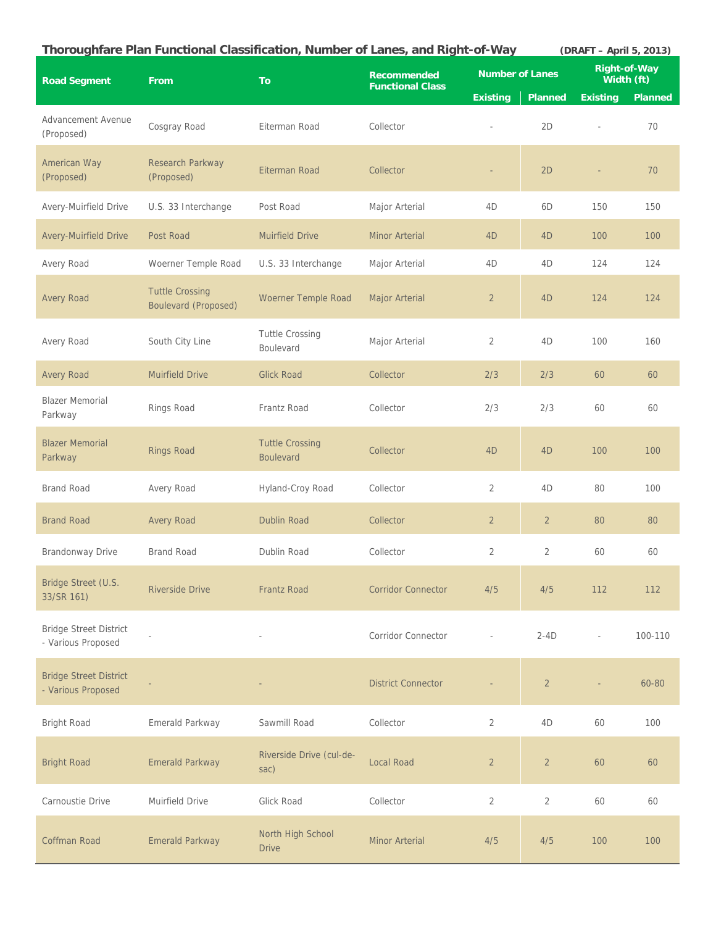|                                                     |                                                       | Thoroughfare Plan Functional Classification, Number of Lanes, and Right-of-Way |                                               |                        |                | (DRAFT - April 5, 2013) |                |
|-----------------------------------------------------|-------------------------------------------------------|--------------------------------------------------------------------------------|-----------------------------------------------|------------------------|----------------|-------------------------|----------------|
| <b>Road Segment</b>                                 | From                                                  | To                                                                             | <b>Recommended</b><br><b>Functional Class</b> | <b>Number of Lanes</b> |                | Width (ft)              | Right-of-Way   |
|                                                     |                                                       |                                                                                |                                               | <b>Existing</b>        | <b>Planned</b> | <b>Existing</b>         | <b>Planned</b> |
| Advancement Avenue<br>(Proposed)                    | Cosgray Road                                          | Eiterman Road                                                                  | Collector                                     | ä,                     | 2D             | ÷,                      | 70             |
| <b>American Way</b><br>(Proposed)                   | Research Parkway<br>(Proposed)                        | Eiterman Road                                                                  | Collector                                     | ÷,                     | 2D             | ÷,                      | 70             |
| Avery-Muirfield Drive                               | U.S. 33 Interchange                                   | Post Road                                                                      | Major Arterial                                | 4D                     | 6D             | 150                     | 150            |
| <b>Avery-Muirfield Drive</b>                        | Post Road                                             | <b>Muirfield Drive</b>                                                         | <b>Minor Arterial</b>                         | 4D                     | 4D             | 100                     | 100            |
| Avery Road                                          | Woerner Temple Road                                   | U.S. 33 Interchange                                                            | Major Arterial                                | 4D                     | 4D             | 124                     | 124            |
| <b>Avery Road</b>                                   | <b>Tuttle Crossing</b><br><b>Boulevard (Proposed)</b> | Woerner Temple Road                                                            | Major Arterial                                | $\overline{2}$         | 4 <sub>D</sub> | 124                     | 124            |
| Avery Road                                          | South City Line                                       | <b>Tuttle Crossing</b><br><b>Boulevard</b>                                     | Major Arterial                                | 2                      | 4D             | 100                     | 160            |
| <b>Avery Road</b>                                   | <b>Muirfield Drive</b>                                | <b>Glick Road</b>                                                              | Collector                                     | 2/3                    | 2/3            | 60                      | 60             |
| <b>Blazer Memorial</b><br>Parkway                   | Rings Road                                            | Frantz Road                                                                    | Collector                                     | 2/3                    | 2/3            | 60                      | 60             |
| <b>Blazer Memorial</b><br>Parkway                   | <b>Rings Road</b>                                     | <b>Tuttle Crossing</b><br><b>Boulevard</b>                                     | Collector                                     | 4D                     | 4D             | 100                     | 100            |
| <b>Brand Road</b>                                   | Avery Road                                            | Hyland-Croy Road                                                               | Collector                                     | 2                      | 4D             | 80                      | 100            |
| <b>Brand Road</b>                                   | <b>Avery Road</b>                                     | <b>Dublin Road</b>                                                             | Collector                                     | $\overline{2}$         | $\overline{2}$ | 80                      | 80             |
| Brandonway Drive                                    | <b>Brand Road</b>                                     | Dublin Road                                                                    | Collector                                     | 2                      | $\overline{2}$ | 60                      | 60             |
| Bridge Street (U.S.<br>33/SR 161)                   | <b>Riverside Drive</b>                                | <b>Frantz Road</b>                                                             | <b>Corridor Connector</b>                     | 4/5                    | 4/5            | 112                     | 112            |
| <b>Bridge Street District</b><br>- Various Proposed |                                                       |                                                                                | <b>Corridor Connector</b>                     |                        | $2-4D$         | $\frac{1}{2}$           | 100-110        |
| <b>Bridge Street District</b><br>- Various Proposed |                                                       |                                                                                | <b>District Connector</b>                     |                        | $\overline{2}$ | ÷,                      | 60-80          |
| Bright Road                                         | Emerald Parkway                                       | Sawmill Road                                                                   | Collector                                     | $\overline{2}$         | 4D             | 60                      | 100            |
| <b>Bright Road</b>                                  | <b>Emerald Parkway</b>                                | Riverside Drive (cul-de-<br>sac)                                               | <b>Local Road</b>                             | $\overline{2}$         | $\overline{2}$ | 60                      | 60             |
| Carnoustie Drive                                    | Muirfield Drive                                       | Glick Road                                                                     | Collector                                     | 2                      | $\overline{2}$ | 60                      | 60             |
| Coffman Road                                        | <b>Emerald Parkway</b>                                | North High School<br><b>Drive</b>                                              | <b>Minor Arterial</b>                         | 4/5                    | 4/5            | 100                     | 100            |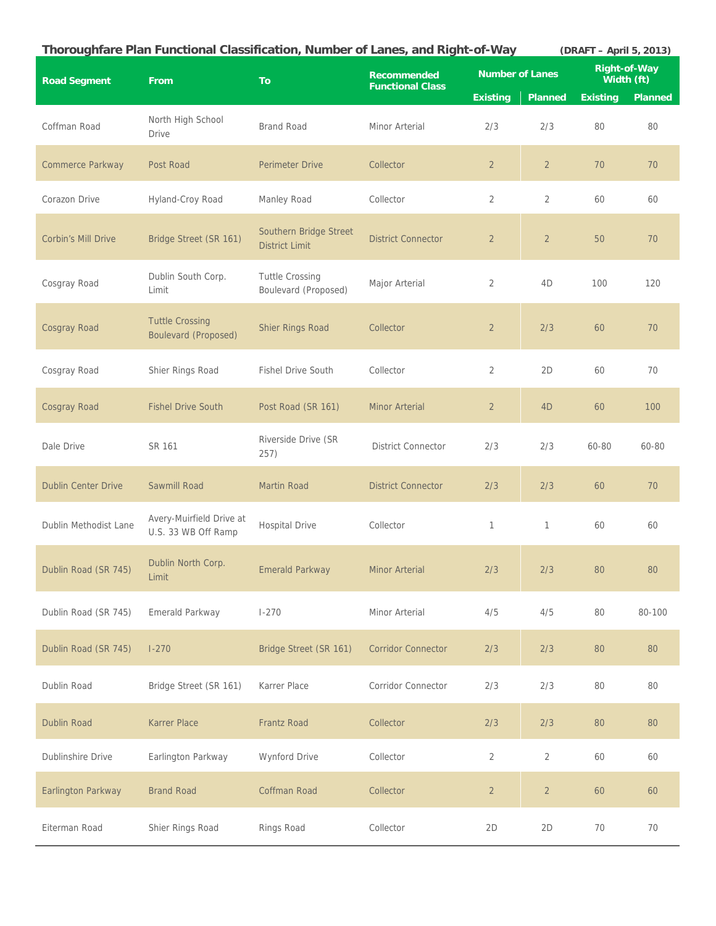| Thoroughfare Plan Functional Classification, Number of Lanes, and Right-of-Way<br>(DRAFT - April 5, 2013) |                                                       |                                                 |                                               |                        |                |                                   |                |  |
|-----------------------------------------------------------------------------------------------------------|-------------------------------------------------------|-------------------------------------------------|-----------------------------------------------|------------------------|----------------|-----------------------------------|----------------|--|
| <b>Road Segment</b>                                                                                       | From                                                  | <b>To</b>                                       | <b>Recommended</b><br><b>Functional Class</b> | <b>Number of Lanes</b> |                | <b>Right-of-Way</b><br>Width (ft) |                |  |
|                                                                                                           |                                                       |                                                 |                                               | <b>Existing</b>        | <b>Planned</b> | <b>Existing</b>                   | <b>Planned</b> |  |
| Coffman Road                                                                                              | North High School<br>Drive                            | <b>Brand Road</b>                               | Minor Arterial                                | 2/3                    | 2/3            | 80                                | 80             |  |
| Commerce Parkway                                                                                          | Post Road                                             | <b>Perimeter Drive</b>                          | Collector                                     | $\overline{2}$         | $\overline{2}$ | 70                                | 70             |  |
| Corazon Drive                                                                                             | Hyland-Croy Road                                      | Manley Road                                     | Collector                                     | $\overline{2}$         | $\overline{2}$ | 60                                | 60             |  |
| Corbin's Mill Drive                                                                                       | Bridge Street (SR 161)                                | Southern Bridge Street<br><b>District Limit</b> | <b>District Connector</b>                     | $\overline{2}$         | $\overline{2}$ | 50                                | 70             |  |
| Cosgray Road                                                                                              | Dublin South Corp.<br>Limit                           | <b>Tuttle Crossing</b><br>Boulevard (Proposed)  | Major Arterial                                | 2                      | 4D             | 100                               | 120            |  |
| Cosgray Road                                                                                              | <b>Tuttle Crossing</b><br><b>Boulevard (Proposed)</b> | Shier Rings Road                                | Collector                                     | $\overline{2}$         | 2/3            | 60                                | 70             |  |
| Cosgray Road                                                                                              | Shier Rings Road                                      | <b>Fishel Drive South</b>                       | Collector                                     | 2                      | 2D             | 60                                | 70             |  |
| Cosgray Road                                                                                              | <b>Fishel Drive South</b>                             | Post Road (SR 161)                              | <b>Minor Arterial</b>                         | $\overline{2}$         | 4D             | 60                                | 100            |  |
| Dale Drive                                                                                                | SR 161                                                | Riverside Drive (SR<br>257)                     | <b>District Connector</b>                     | 2/3                    | 2/3            | 60-80                             | 60-80          |  |
| <b>Dublin Center Drive</b>                                                                                | Sawmill Road                                          | <b>Martin Road</b>                              | <b>District Connector</b>                     | 2/3                    | 2/3            | 60                                | 70             |  |
| Dublin Methodist Lane                                                                                     | Avery-Muirfield Drive at<br>U.S. 33 WB Off Ramp       | <b>Hospital Drive</b>                           | Collector                                     | 1                      | 1              | 60                                | 60             |  |
| Dublin Road (SR 745)                                                                                      | Dublin North Corp.<br>Limit                           | <b>Emerald Parkway</b>                          | <b>Minor Arterial</b>                         | 2/3                    | 2/3            | 80                                | 80             |  |
| Dublin Road (SR 745)                                                                                      | Emerald Parkway                                       | $1 - 270$                                       | Minor Arterial                                | 4/5                    | 4/5            | 80                                | 80-100         |  |
| Dublin Road (SR 745)                                                                                      | $1-270$                                               | Bridge Street (SR 161)                          | <b>Corridor Connector</b>                     | 2/3                    | 2/3            | 80                                | 80             |  |
| Dublin Road                                                                                               | Bridge Street (SR 161)                                | Karrer Place                                    | Corridor Connector                            | 2/3                    | 2/3            | 80                                | 80             |  |
| <b>Dublin Road</b>                                                                                        | Karrer Place                                          | <b>Frantz Road</b>                              | Collector                                     | 2/3                    | 2/3            | 80                                | 80             |  |
| Dublinshire Drive                                                                                         | Earlington Parkway                                    | Wynford Drive                                   | Collector                                     | $\overline{2}$         | $\overline{2}$ | 60                                | 60             |  |
| Earlington Parkway                                                                                        | <b>Brand Road</b>                                     | Coffman Road                                    | Collector                                     | $\overline{2}$         | $\overline{2}$ | 60                                | 60             |  |
| Eiterman Road                                                                                             | Shier Rings Road                                      | Rings Road                                      | Collector                                     | 2D                     | 2D             | 70                                | 70             |  |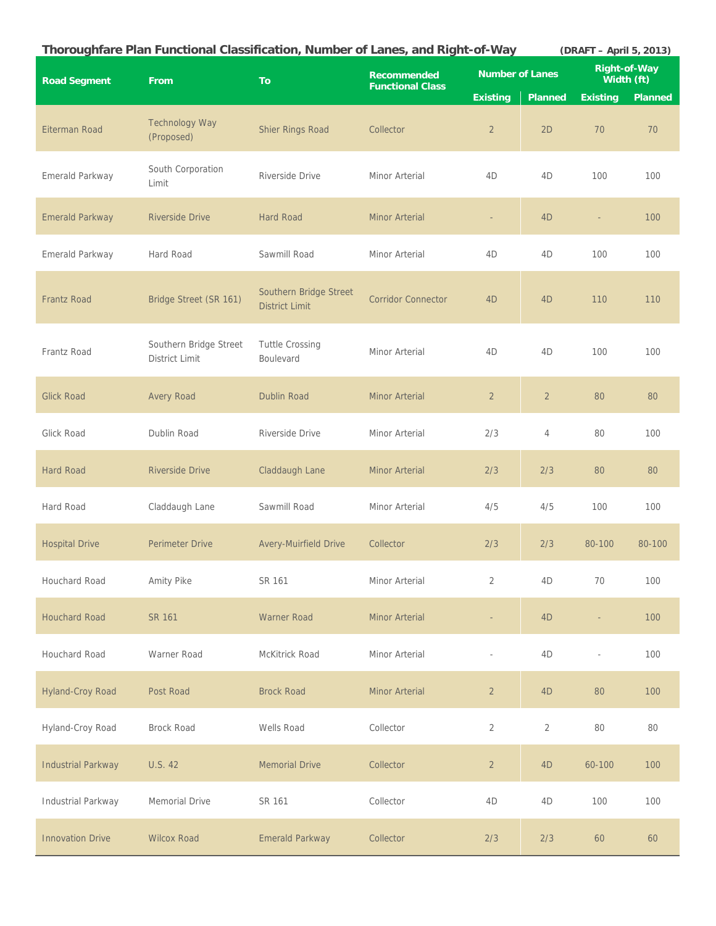| Thoroughfare Plan Functional Classification, Number of Lanes, and Right-of-Way<br>(DRAFT - April 5, 2013) |                                          |                                                 |                                               |                        |                |                                   |                |
|-----------------------------------------------------------------------------------------------------------|------------------------------------------|-------------------------------------------------|-----------------------------------------------|------------------------|----------------|-----------------------------------|----------------|
| <b>Road Segment</b>                                                                                       | From                                     | <b>To</b>                                       | <b>Recommended</b><br><b>Functional Class</b> | <b>Number of Lanes</b> |                | <b>Right-of-Way</b><br>Width (ft) |                |
|                                                                                                           |                                          |                                                 |                                               | <b>Existing</b>        | <b>Planned</b> | <b>Existing</b>                   | <b>Planned</b> |
| Eiterman Road                                                                                             | <b>Technology Way</b><br>(Proposed)      | Shier Rings Road                                | Collector                                     | $\overline{2}$         | 2D             | 70                                | 70             |
| Emerald Parkway                                                                                           | South Corporation<br>Limit               | Riverside Drive                                 | Minor Arterial                                | 4D                     | 4D             | 100                               | 100            |
| Emerald Parkway                                                                                           | <b>Riverside Drive</b>                   | <b>Hard Road</b>                                | <b>Minor Arterial</b>                         | ÷,                     | 4D             |                                   | 100            |
| Emerald Parkway                                                                                           | Hard Road                                | Sawmill Road                                    | Minor Arterial                                | 4D                     | 4D             | 100                               | 100            |
| <b>Frantz Road</b>                                                                                        | Bridge Street (SR 161)                   | Southern Bridge Street<br><b>District Limit</b> | <b>Corridor Connector</b>                     | 4 <sub>D</sub>         | 4 <sub>D</sub> | 110                               | 110            |
| Frantz Road                                                                                               | Southern Bridge Street<br>District Limit | <b>Tuttle Crossing</b><br>Boulevard             | Minor Arterial                                | 4D                     | 4D             | 100                               | 100            |
| <b>Glick Road</b>                                                                                         | <b>Avery Road</b>                        | <b>Dublin Road</b>                              | <b>Minor Arterial</b>                         | $\overline{2}$         | $\overline{2}$ | 80                                | 80             |
| Glick Road                                                                                                | Dublin Road                              | Riverside Drive                                 | Minor Arterial                                | 2/3                    | $\overline{4}$ | 80                                | 100            |
| <b>Hard Road</b>                                                                                          | <b>Riverside Drive</b>                   | Claddaugh Lane                                  | <b>Minor Arterial</b>                         | 2/3                    | 2/3            | 80                                | 80             |
| Hard Road                                                                                                 | Claddaugh Lane                           | Sawmill Road                                    | Minor Arterial                                | 4/5                    | 4/5            | 100                               | 100            |
| <b>Hospital Drive</b>                                                                                     | <b>Perimeter Drive</b>                   | <b>Avery-Muirfield Drive</b>                    | Collector                                     | 2/3                    | 2/3            | 80-100                            | 80-100         |
| Houchard Road                                                                                             | Amity Pike                               | SR 161                                          | Minor Arterial                                | $\overline{2}$         | 4D             | 70                                | 100            |
| <b>Houchard Road</b>                                                                                      | <b>SR 161</b>                            | <b>Warner Road</b>                              | <b>Minor Arterial</b>                         | $\equiv$               | 4D             |                                   | 100            |
| Houchard Road                                                                                             | Warner Road                              | McKitrick Road                                  | Minor Arterial                                | ÷,                     | 4D             | $\overline{a}$                    | 100            |
| Hyland-Croy Road                                                                                          | Post Road                                | <b>Brock Road</b>                               | Minor Arterial                                | $\overline{2}$         | 4D             | 80                                | 100            |
| Hyland-Croy Road                                                                                          | <b>Brock Road</b>                        | Wells Road                                      | Collector                                     | $\overline{2}$         | $\overline{2}$ | 80                                | 80             |
| <b>Industrial Parkway</b>                                                                                 | U.S. 42                                  | <b>Memorial Drive</b>                           | Collector                                     | $\overline{2}$         | 4D             | 60-100                            | 100            |
| Industrial Parkway                                                                                        | Memorial Drive                           | SR 161                                          | Collector                                     | 4D                     | 4D             | 100                               | 100            |
| <b>Innovation Drive</b>                                                                                   | <b>Wilcox Road</b>                       | <b>Emerald Parkway</b>                          | Collector                                     | 2/3                    | 2/3            | 60                                | 60             |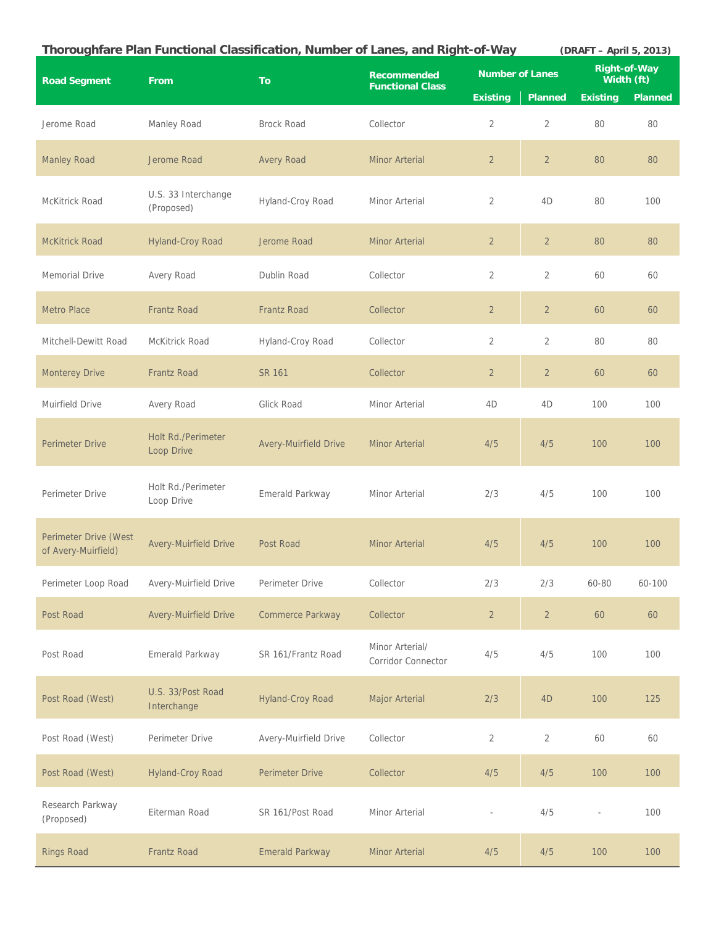|                                              |                                         | Thoroughfare Plan Functional Classification, Number of Lanes, and Right-of-Way |                                               |                        |                | (DRAFT - April 5, 2013)           |                |
|----------------------------------------------|-----------------------------------------|--------------------------------------------------------------------------------|-----------------------------------------------|------------------------|----------------|-----------------------------------|----------------|
| <b>Road Segment</b>                          | From                                    | <b>To</b>                                                                      | <b>Recommended</b><br><b>Functional Class</b> | <b>Number of Lanes</b> |                | <b>Right-of-Way</b><br>Width (ft) |                |
|                                              |                                         |                                                                                |                                               | <b>Existing</b>        | <b>Planned</b> | <b>Existing</b>                   | <b>Planned</b> |
| Jerome Road                                  | Manley Road                             | <b>Brock Road</b>                                                              | Collector                                     | $\overline{2}$         | $\overline{2}$ | 80                                | 80             |
| <b>Manley Road</b>                           | Jerome Road                             | <b>Avery Road</b>                                                              | <b>Minor Arterial</b>                         | $\overline{2}$         | $\overline{2}$ | 80                                | 80             |
| McKitrick Road                               | U.S. 33 Interchange<br>(Proposed)       | Hyland-Croy Road                                                               | Minor Arterial                                | $\overline{2}$         | 4D             | 80                                | 100            |
| <b>McKitrick Road</b>                        | Hyland-Croy Road                        | Jerome Road                                                                    | <b>Minor Arterial</b>                         | $\overline{2}$         | $\overline{2}$ | 80                                | 80             |
| <b>Memorial Drive</b>                        | Avery Road                              | Dublin Road                                                                    | Collector                                     | $\overline{2}$         | $\overline{2}$ | 60                                | 60             |
| <b>Metro Place</b>                           | <b>Frantz Road</b>                      | <b>Frantz Road</b>                                                             | Collector                                     | $\overline{2}$         | $\overline{2}$ | 60                                | 60             |
| Mitchell-Dewitt Road                         | McKitrick Road                          | Hyland-Croy Road                                                               | Collector                                     | 2                      | $\overline{2}$ | 80                                | 80             |
| <b>Monterey Drive</b>                        | <b>Frantz Road</b>                      | SR 161                                                                         | Collector                                     | $\overline{2}$         | $\overline{2}$ | 60                                | 60             |
| Muirfield Drive                              | Avery Road                              | Glick Road                                                                     | Minor Arterial                                | 4D                     | 4D             | 100                               | 100            |
| <b>Perimeter Drive</b>                       | <b>Holt Rd./Perimeter</b><br>Loop Drive | <b>Avery-Muirfield Drive</b>                                                   | <b>Minor Arterial</b>                         | 4/5                    | 4/5            | 100                               | 100            |
| Perimeter Drive                              | Holt Rd./Perimeter<br>Loop Drive        | Emerald Parkway                                                                | Minor Arterial                                | 2/3                    | 4/5            | 100                               | 100            |
| Perimeter Drive (West<br>of Avery-Muirfield) | <b>Avery-Muirfield Drive</b>            | Post Road                                                                      | <b>Minor Arterial</b>                         | 4/5                    | 4/5            | 100                               | 100            |
| Perimeter Loop Road                          | Avery-Muirfield Drive                   | Perimeter Drive                                                                | Collector                                     | 2/3                    | 2/3            | 60-80                             | 60-100         |
| Post Road                                    | <b>Avery-Muirfield Drive</b>            | Commerce Parkway                                                               | Collector                                     | $\overline{2}$         | $\overline{2}$ | 60                                | 60             |
| Post Road                                    | Emerald Parkway                         | SR 161/Frantz Road                                                             | Minor Arterial/<br><b>Corridor Connector</b>  | 4/5                    | 4/5            | 100                               | 100            |
| Post Road (West)                             | U.S. 33/Post Road<br>Interchange        | <b>Hyland-Croy Road</b>                                                        | Major Arterial                                | 2/3                    | 4D             | 100                               | 125            |
| Post Road (West)                             | Perimeter Drive                         | Avery-Muirfield Drive                                                          | Collector                                     | 2                      | $\overline{2}$ | 60                                | 60             |
| Post Road (West)                             | <b>Hyland-Croy Road</b>                 | <b>Perimeter Drive</b>                                                         | Collector                                     | 4/5                    | 4/5            | 100                               | 100            |
| Research Parkway<br>(Proposed)               | Eiterman Road                           | SR 161/Post Road                                                               | Minor Arterial                                | J.                     | 4/5            |                                   | 100            |
| <b>Rings Road</b>                            | Frantz Road                             | <b>Emerald Parkway</b>                                                         | <b>Minor Arterial</b>                         | 4/5                    | 4/5            | 100                               | 100            |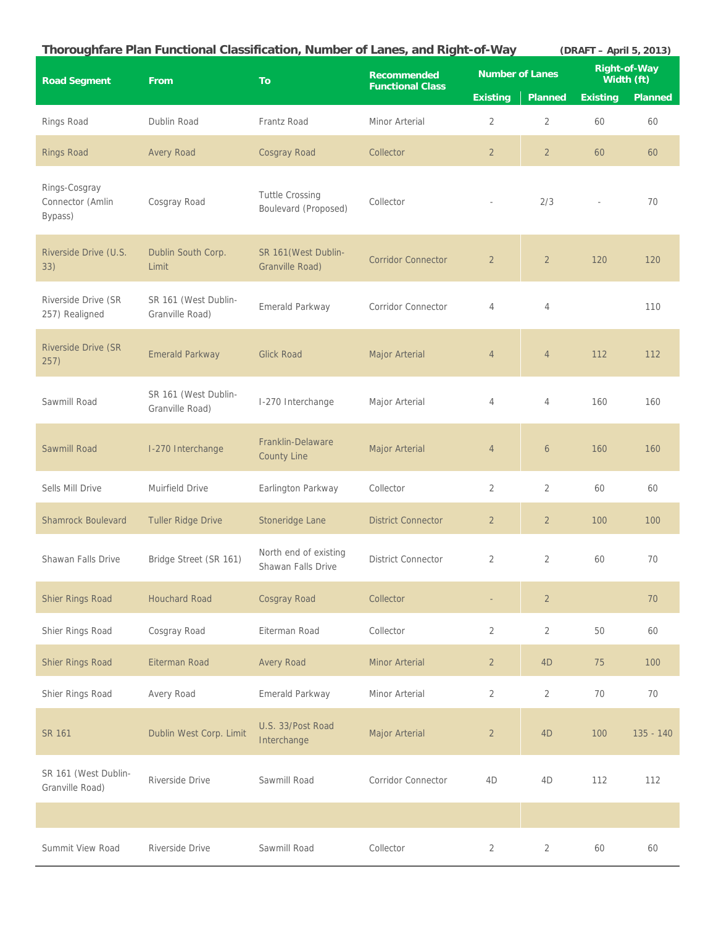|                                              | Thoroughfare Plan Functional Classification, Number of Lanes, and Right-of-Way |                                                |                                               |                        |                | (DRAFT - April 5, 2013)  |                            |
|----------------------------------------------|--------------------------------------------------------------------------------|------------------------------------------------|-----------------------------------------------|------------------------|----------------|--------------------------|----------------------------|
| <b>Road Segment</b>                          | <b>From</b>                                                                    | To                                             | <b>Recommended</b><br><b>Functional Class</b> | <b>Number of Lanes</b> |                |                          | Right-of-Way<br>Width (ft) |
|                                              |                                                                                |                                                |                                               | <b>Existing</b>        | <b>Planned</b> | <b>Existing</b>          | <b>Planned</b>             |
| Rings Road                                   | Dublin Road                                                                    | Frantz Road                                    | Minor Arterial                                | 2                      | 2              | 60                       | 60                         |
| <b>Rings Road</b>                            | <b>Avery Road</b>                                                              | Cosgray Road                                   | Collector                                     | $\overline{2}$         | $\overline{2}$ | 60                       | 60                         |
| Rings-Cosgray<br>Connector (Amlin<br>Bypass) | Cosgray Road                                                                   | <b>Tuttle Crossing</b><br>Boulevard (Proposed) | Collector                                     | i.                     | 2/3            | $\overline{\phantom{a}}$ | 70                         |
| Riverside Drive (U.S.<br>33)                 | Dublin South Corp.<br>Limit                                                    | SR 161 (West Dublin-<br>Granville Road)        | <b>Corridor Connector</b>                     | $\overline{2}$         | $\overline{2}$ | 120                      | 120                        |
| Riverside Drive (SR<br>257) Realigned        | SR 161 (West Dublin-<br>Granville Road)                                        | Emerald Parkway                                | <b>Corridor Connector</b>                     | 4                      | 4              |                          | 110                        |
| <b>Riverside Drive (SR</b><br>257)           | <b>Emerald Parkway</b>                                                         | <b>Glick Road</b>                              | Major Arterial                                | $\overline{4}$         | $\overline{4}$ | 112                      | 112                        |
| Sawmill Road                                 | SR 161 (West Dublin-<br>Granville Road)                                        | I-270 Interchange                              | Major Arterial                                | 4                      | 4              | 160                      | 160                        |
| Sawmill Road                                 | I-270 Interchange                                                              | Franklin-Delaware<br><b>County Line</b>        | Major Arterial                                | $\overline{4}$         | 6              | 160                      | 160                        |
| Sells Mill Drive                             | Muirfield Drive                                                                | Earlington Parkway                             | Collector                                     | 2                      | 2              | 60                       | 60                         |
| <b>Shamrock Boulevard</b>                    | <b>Tuller Ridge Drive</b>                                                      | Stoneridge Lane                                | <b>District Connector</b>                     | $\overline{2}$         | $\overline{2}$ | 100                      | 100                        |
| Shawan Falls Drive                           | Bridge Street (SR 161)                                                         | North end of existing<br>Shawan Falls Drive    | <b>District Connector</b>                     | 2                      | 2              | 60                       | 70                         |
| <b>Shier Rings Road</b>                      | <b>Houchard Road</b>                                                           | <b>Cosgray Road</b>                            | Collector                                     |                        | $\overline{2}$ |                          | 70                         |
| Shier Rings Road                             | Cosgray Road                                                                   | Eiterman Road                                  | Collector                                     | $\overline{2}$         | $\overline{2}$ | 50                       | 60                         |
| Shier Rings Road                             | Eiterman Road                                                                  | <b>Avery Road</b>                              | <b>Minor Arterial</b>                         | $\overline{2}$         | 4D             | 75                       | 100                        |
| Shier Rings Road                             | Avery Road                                                                     | Emerald Parkway                                | Minor Arterial                                | $\overline{2}$         | $\overline{2}$ | 70                       | 70                         |
| <b>SR 161</b>                                | Dublin West Corp. Limit                                                        | U.S. 33/Post Road<br>Interchange               | Major Arterial                                | $\overline{a}$         | 4D             | 100                      | $135 - 140$                |
| SR 161 (West Dublin-<br>Granville Road)      | Riverside Drive                                                                | Sawmill Road                                   | <b>Corridor Connector</b>                     | 4D                     | 4D             | 112                      | 112                        |
|                                              |                                                                                |                                                |                                               |                        |                |                          |                            |
| Summit View Road                             | Riverside Drive                                                                | Sawmill Road                                   | Collector                                     | $\overline{2}$         | $\overline{2}$ | 60                       | 60                         |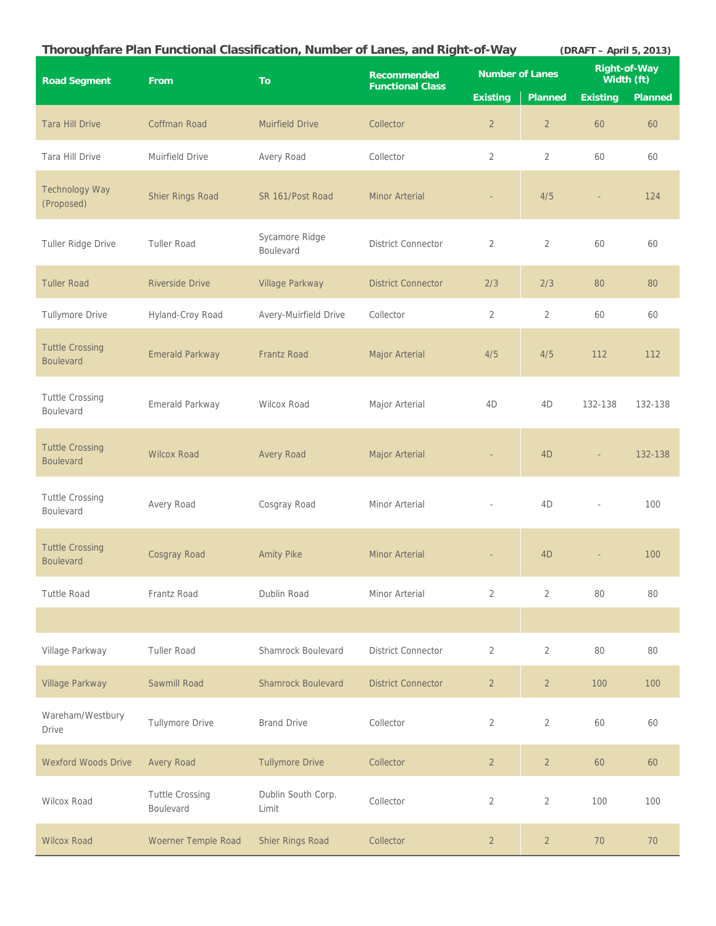|                                            | Thoroughfare Plan Functional Classification, Number of Lanes, and Right-of-Way |                             |                                               |                 |                        | (DRAFT - April 5, 2013)  |                                   |
|--------------------------------------------|--------------------------------------------------------------------------------|-----------------------------|-----------------------------------------------|-----------------|------------------------|--------------------------|-----------------------------------|
| <b>Road Segment</b>                        | From                                                                           | <b>To</b>                   | <b>Recommended</b><br><b>Functional Class</b> |                 | <b>Number of Lanes</b> |                          | <b>Right-of-Way</b><br>Width (ft) |
|                                            |                                                                                |                             |                                               | <b>Existing</b> | <b>Planned</b>         | <b>Existing</b>          | Planned                           |
| <b>Tara Hill Drive</b>                     | Coffman Road                                                                   | <b>Muirfield Drive</b>      | Collector                                     | $\overline{2}$  | $\overline{2}$         | 60                       | 60                                |
| Tara Hill Drive                            | Muirfield Drive                                                                | Avery Road                  | Collector                                     | $\overline{2}$  | $\overline{2}$         | 60                       | 60                                |
| <b>Technology Way</b><br>(Proposed)        | Shier Rings Road                                                               | SR 161/Post Road            | <b>Minor Arterial</b>                         |                 | 4/5                    | ÷.                       | 124                               |
| Tuller Ridge Drive                         | <b>Tuller Road</b>                                                             | Sycamore Ridge<br>Boulevard | <b>District Connector</b>                     | 2               | $\overline{2}$         | 60                       | 60                                |
| <b>Tuller Road</b>                         | <b>Riverside Drive</b>                                                         | Village Parkway             | <b>District Connector</b>                     | 2/3             | 2/3                    | 80                       | 80                                |
| <b>Tullymore Drive</b>                     | Hyland-Croy Road                                                               | Avery-Muirfield Drive       | Collector                                     | $\overline{2}$  | $\overline{2}$         | 60                       | 60                                |
| <b>Tuttle Crossing</b><br><b>Boulevard</b> | <b>Emerald Parkway</b>                                                         | <b>Frantz Road</b>          | Major Arterial                                | 4/5             | 4/5                    | 112                      | 112                               |
| <b>Tuttle Crossing</b><br>Boulevard        | Emerald Parkway                                                                | <b>Wilcox Road</b>          | Major Arterial                                | 4D              | 4D                     | 132-138                  | 132-138                           |
| <b>Tuttle Crossing</b><br><b>Boulevard</b> | <b>Wilcox Road</b>                                                             | <b>Avery Road</b>           | Major Arterial                                |                 | 4 <sub>D</sub>         | $\overline{\phantom{a}}$ | 132-138                           |
| <b>Tuttle Crossing</b><br>Boulevard        | Avery Road                                                                     | Cosgray Road                | Minor Arterial                                |                 | 4D                     | ÷,                       | 100                               |
| <b>Tuttle Crossing</b><br><b>Boulevard</b> | Cosgray Road                                                                   | <b>Amity Pike</b>           | <b>Minor Arterial</b>                         |                 | 4 <sub>D</sub>         |                          | 100                               |
| <b>Tuttle Road</b>                         | Frantz Road                                                                    | Dublin Road                 | Minor Arterial                                | 2               | $\overline{2}$         | 80                       | 80                                |
|                                            |                                                                                |                             |                                               |                 |                        |                          |                                   |
| Village Parkway                            | <b>Tuller Road</b>                                                             | <b>Shamrock Boulevard</b>   | <b>District Connector</b>                     | $\overline{2}$  | $\overline{2}$         | 80                       | 80                                |
| <b>Village Parkway</b>                     | Sawmill Road                                                                   | <b>Shamrock Boulevard</b>   | <b>District Connector</b>                     | $\overline{2}$  | $\overline{2}$         | 100                      | 100                               |
| Wareham/Westbury<br><b>Drive</b>           | <b>Tullymore Drive</b>                                                         | <b>Brand Drive</b>          | Collector                                     | $\overline{2}$  | $\overline{2}$         | 60                       | 60                                |
| <b>Wexford Woods Drive</b>                 | <b>Avery Road</b>                                                              | <b>Tullymore Drive</b>      | Collector                                     | $\overline{2}$  | $\overline{2}$         | 60                       | 60                                |
| <b>Wilcox Road</b>                         | <b>Tuttle Crossing</b><br>Boulevard                                            | Dublin South Corp.<br>Limit | Collector                                     | $\overline{2}$  | $\overline{2}$         | 100                      | 100                               |
| <b>Wilcox Road</b>                         | Woerner Temple Road                                                            | Shier Rings Road            | Collector                                     | $\overline{2}$  | $\overline{2}$         | 70                       | 70                                |